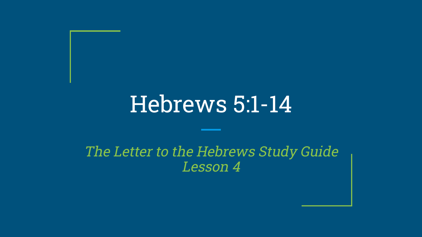# Hebrews 5:1-14

#### The Letter to the Hebrews Study Guide Lesson 4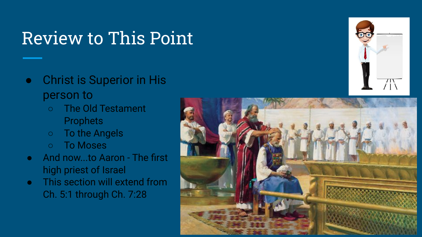#### Review to This Point

- Christ is Superior in His person to
	- The Old Testament **Prophets**
	- To the Angels
	- To Moses
- And now...to Aaron The first high priest of Israel
- This section will extend from Ch. 5:1 through Ch. 7:28



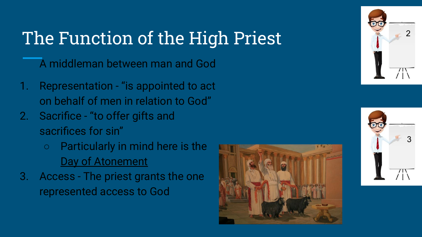# The Function of the High Priest

A middleman between man and God

- 1. Representation "is appointed to act on behalf of men in relation to God"
- 2. Sacrifice "to offer gifts and sacrifices for sin"
	- Particularly in mind here is the Day of Atonement
- 3. Access The priest grants the one represented access to God





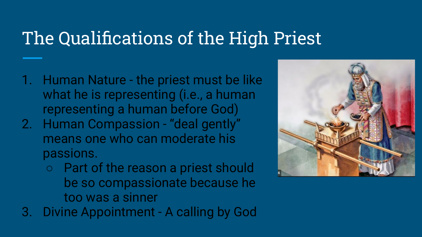#### The Qualifications of the High Priest

- 1. Human Nature the priest must be like what he is representing (i.e., a human representing a human before God)
- 2. Human Compassion "deal gently" means one who can moderate his passions.
	- Part of the reason a priest should be so compassionate because he too was a sinner
- 3. Divine Appointment A calling by God

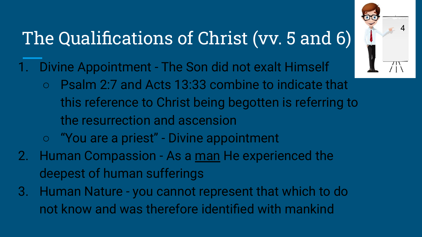# The Qualifications of Christ (vv. 5 and 6)

- 1. Divine Appointment The Son did not exalt Himself
	- Psalm 2:7 and Acts 13:33 combine to indicate that this reference to Christ being begotten is referring to the resurrection and ascension
	- "You are a priest" Divine appointment
- 2. Human Compassion As a man He experienced the deepest of human sufferings
- 3. Human Nature you cannot represent that which to do not know and was therefore identified with mankind

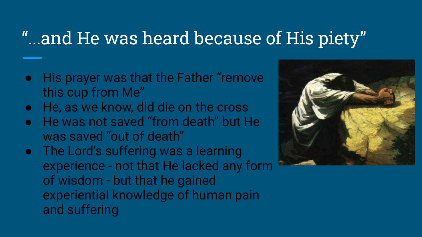#### "...and He was heard because of His piety"

- His prayer was that the Father "remove this cup from Me"
- He, as we know, did die on the cross
- He was not saved "from death" but He was saved "out of death"
- The Lord's suffering was a learning experience - not that He lacked any form of wisdom - but that he gained experiential knowledge of human pain and suffering

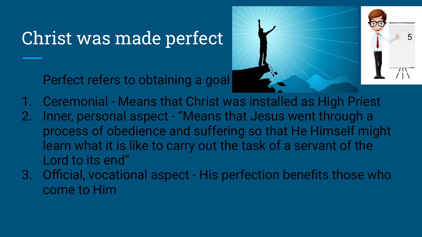# Christ was made perfect

Perfect refers to obtaining a goal



- 1. Ceremonial Means that Christ was installed as High Priest
- 2. Inner, personal aspect "Means that Jesus went through a process of obedience and suffering so that He Himself might learn what it is like to carry out the task of a servant of the Lord to its end"
- 3. Official, vocational aspect His perfection benefits those who come to Him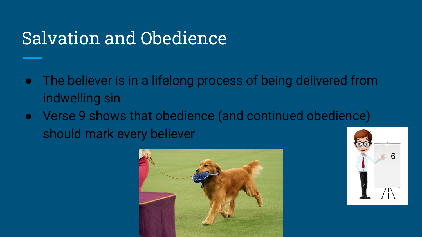### Salvation and Obedience

- The believer is in a lifelong process of being delivered from indwelling sin
- Verse 9 shows that obedience (and continued obedience) should mark every believer



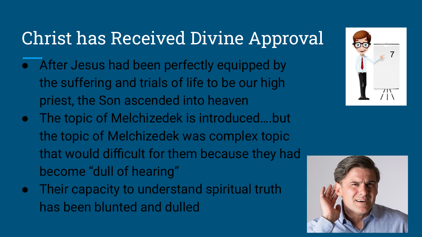# Christ has Received Divine Approval

- After Jesus had been perfectly equipped by the suffering and trials of life to be our high priest, the Son ascended into heaven
- The topic of Melchizedek is introduced….but the topic of Melchizedek was complex topic that would difficult for them because they had become "dull of hearing"
- Their capacity to understand spiritual truth has been blunted and dulled



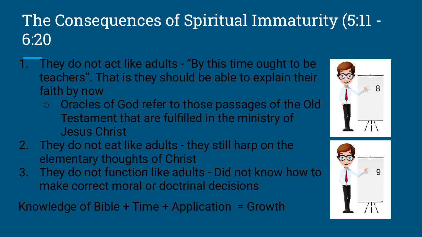#### The Consequences of Spiritual Immaturity (5:11 - 6:20

- 1. They do not act like adults "By this time ought to be teachers". That is they should be able to explain their faith by now
	- Oracles of God refer to those passages of the Old Testament that are fulfilled in the ministry of Jesus Christ
- 2. They do not eat like adults they still harp on the elementary thoughts of Christ
- 3. They do not function like adults Did not know how to make correct moral or doctrinal decisions

Knowledge of Bible + Time + Application = Growth